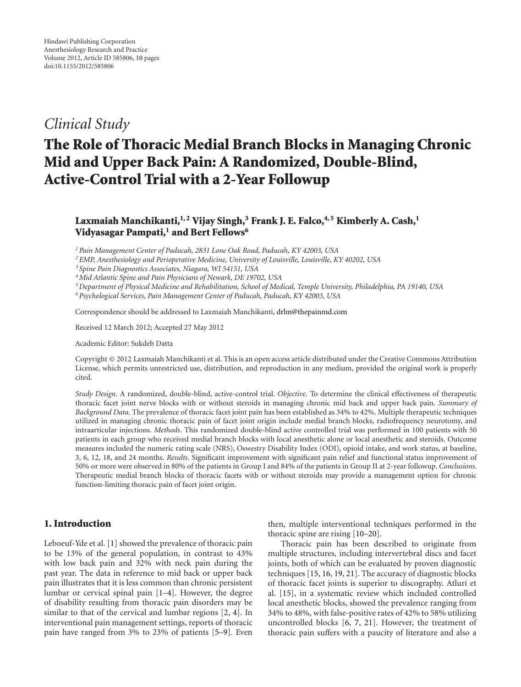## *Clinical Study*

# **The Role of Thoracic Medial Branch Blocks in Managing Chronic Mid and Upper Back Pain: A Randomized, Double-Blind, Active-Control Trial with a 2-Year Followup**

### Laxmaiah Manchikanti,<sup>1,2</sup> Vijay Singh,<sup>3</sup> Frank J. E. Falco,<sup>4,5</sup> Kimberly A. Cash,<sup>1</sup> Vidyasagar Pampati,<sup>1</sup> and Bert Fellows<sup>6</sup>

*1Pain Management Center of Paducah, 2831 Lone Oak Road, Paducah, KY 42003, USA*

*2EMP, Anesthesiology and Perioperative Medicine, University of Louisville, Louisville, KY 40202, USA*

*<sup>3</sup> Spine Pain Diagnostics Associates, Niagara, WI 54151, USA*

*4Mid Atlantic Spine and Pain Physicians of Newark, DE 19702, USA*

*5Department of Physical Medicine and Rehabilitation, School of Medical, Temple University, Philadelphia, PA 19140, USA*

*6Psychological Services, Pain Management Center of Paducah, Paducah, KY 42003, USA*

Correspondence should be addressed to Laxmaiah Manchikanti, [drlm@thepainmd.com](mailto:drlm@thepainmd.com)

Received 12 March 2012; Accepted 27 May 2012

Academic Editor: Sukdeb Datta

Copyright © 2012 Laxmaiah Manchikanti et al. This is an open access article distributed under the Creative Commons Attribution License, which permits unrestricted use, distribution, and reproduction in any medium, provided the original work is properly cited.

*Study Design*. A randomized, double-blind, active-control trial. *Objective*. To determine the clinical effectiveness of therapeutic thoracic facet joint nerve blocks with or without steroids in managing chronic mid back and upper back pain. *Summary of Background Data*. The prevalence of thoracic facet joint pain has been established as 34% to 42%. Multiple therapeutic techniques utilized in managing chronic thoracic pain of facet joint origin include medial branch blocks, radiofrequency neurotomy, and intraarticular injections. *Methods*. This randomized double-blind active controlled trial was performed in 100 patients with 50 patients in each group who received medial branch blocks with local anesthetic alone or local anesthetic and steroids. Outcome measures included the numeric rating scale (NRS), Oswestry Disability Index (ODI), opioid intake, and work status, at baseline, 3, 6, 12, 18, and 24 months. *Results*. Significant improvement with significant pain relief and functional status improvement of 50% or more were observed in 80% of the patients in Group I and 84% of the patients in Group II at 2-year followup. *Conclusions*. Therapeutic medial branch blocks of thoracic facets with or without steroids may provide a management option for chronic function-limiting thoracic pain of facet joint origin.

#### **1. Introduction**

Leboeuf-Yde et al. [\[1\]](#page-6-1) showed the prevalence of thoracic pain to be 13% of the general population, in contrast to 43% with low back pain and 32% with neck pain during the past year. The data in reference to mid back or upper back pain illustrates that it is less common than chronic persistent lumbar or cervical spinal pain [\[1](#page-6-1)[–4\]](#page-7-0). However, the degree of disability resulting from thoracic pain disorders may be similar to that of the cervical and lumbar regions [\[2,](#page-6-2) [4](#page-7-0)]. In interventional pain management settings, reports of thoracic pain have ranged from 3% to 23% of patients [\[5](#page-7-1)[–9](#page-7-2)]. Even

then, multiple interventional techniques performed in the thoracic spine are rising [\[10](#page-7-3)[–20\]](#page-7-4).

Thoracic pain has been described to originate from multiple structures, including intervertebral discs and facet joints, both of which can be evaluated by proven diagnostic techniques [\[15,](#page-7-5) [16,](#page-7-6) [19,](#page-7-7) [21](#page-7-8)]. The accuracy of diagnostic blocks of thoracic facet joints is superior to discography. Atluri et al. [\[15](#page-7-5)], in a systematic review which included controlled local anesthetic blocks, showed the prevalence ranging from 34% to 48%, with false-positive rates of 42% to 58% utilizing uncontrolled blocks [\[6](#page-7-9), [7](#page-7-10), [21](#page-7-8)]. However, the treatment of thoracic pain suffers with a paucity of literature and also a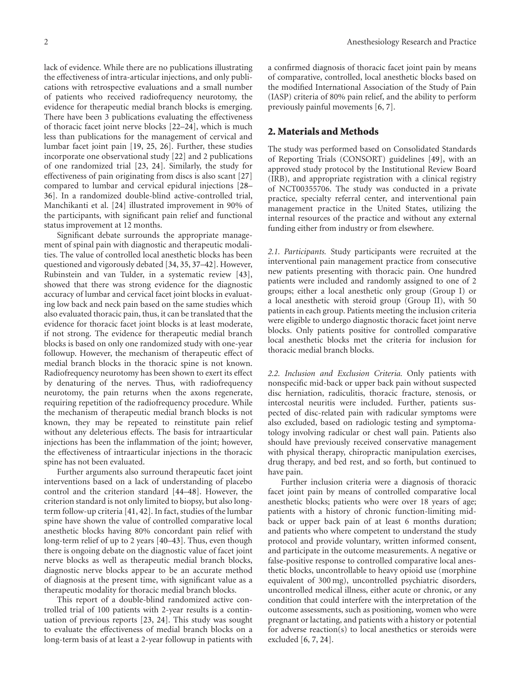lack of evidence. While there are no publications illustrating the effectiveness of intra-articular injections, and only publications with retrospective evaluations and a small number of patients who received radiofrequency neurotomy, the evidence for therapeutic medial branch blocks is emerging. There have been 3 publications evaluating the effectiveness of thoracic facet joint nerve blocks [\[22](#page-7-11)[–24](#page-7-12)], which is much less than publications for the management of cervical and lumbar facet joint pain [\[19,](#page-7-7) [25](#page-7-13), [26\]](#page-7-14). Further, these studies incorporate one observational study [\[22\]](#page-7-11) and 2 publications of one randomized trial [\[23](#page-7-15), [24\]](#page-7-12). Similarly, the study for effectiveness of pain originating from discs is also scant [\[27](#page-7-16)] compared to lumbar and cervical epidural injections [\[28–](#page-7-17) [36](#page-8-0)]. In a randomized double-blind active-controlled trial, Manchikanti et al. [\[24\]](#page-7-12) illustrated improvement in 90% of the participants, with significant pain relief and functional status improvement at 12 months.

Significant debate surrounds the appropriate management of spinal pain with diagnostic and therapeutic modalities. The value of controlled local anesthetic blocks has been questioned and vigorously debated [\[34](#page-8-1), [35](#page-8-2), [37](#page-8-3)[–42\]](#page-8-4). However, Rubinstein and van Tulder, in a systematic review [\[43\]](#page-8-5), showed that there was strong evidence for the diagnostic accuracy of lumbar and cervical facet joint blocks in evaluating low back and neck pain based on the same studies which also evaluated thoracic pain, thus, it can be translated that the evidence for thoracic facet joint blocks is at least moderate, if not strong. The evidence for therapeutic medial branch blocks is based on only one randomized study with one-year followup. However, the mechanism of therapeutic effect of medial branch blocks in the thoracic spine is not known. Radiofrequency neurotomy has been shown to exert its effect by denaturing of the nerves. Thus, with radiofrequency neurotomy, the pain returns when the axons regenerate, requiring repetition of the radiofrequency procedure. While the mechanism of therapeutic medial branch blocks is not known, they may be repeated to reinstitute pain relief without any deleterious effects. The basis for intraarticular injections has been the inflammation of the joint; however, the effectiveness of intraarticular injections in the thoracic spine has not been evaluated.

Further arguments also surround therapeutic facet joint interventions based on a lack of understanding of placebo control and the criterion standard [\[44](#page-8-6)[–48](#page-8-7)]. However, the criterion standard is not only limited to biopsy, but also longterm follow-up criteria [\[41](#page-8-8), [42](#page-8-4)]. In fact, studies of the lumbar spine have shown the value of controlled comparative local anesthetic blocks having 80% concordant pain relief with long-term relief of up to 2 years [\[40](#page-8-9)[–43\]](#page-8-5). Thus, even though there is ongoing debate on the diagnostic value of facet joint nerve blocks as well as therapeutic medial branch blocks, diagnostic nerve blocks appear to be an accurate method of diagnosis at the present time, with significant value as a therapeutic modality for thoracic medial branch blocks.

This report of a double-blind randomized active controlled trial of 100 patients with 2-year results is a continuation of previous reports [\[23,](#page-7-15) [24](#page-7-12)]. This study was sought to evaluate the effectiveness of medial branch blocks on a long-term basis of at least a 2-year followup in patients with a confirmed diagnosis of thoracic facet joint pain by means of comparative, controlled, local anesthetic blocks based on the modified International Association of the Study of Pain (IASP) criteria of 80% pain relief, and the ability to perform previously painful movements [\[6](#page-7-9), [7\]](#page-7-10).

#### **2. Materials and Methods**

The study was performed based on Consolidated Standards of Reporting Trials (CONSORT) guidelines [\[49](#page-8-10)], with an approved study protocol by the Institutional Review Board (IRB), and appropriate registration with a clinical registry of NCT00355706. The study was conducted in a private practice, specialty referral center, and interventional pain management practice in the United States, utilizing the internal resources of the practice and without any external funding either from industry or from elsewhere.

*2.1. Participants.* Study participants were recruited at the interventional pain management practice from consecutive new patients presenting with thoracic pain. One hundred patients were included and randomly assigned to one of 2 groups; either a local anesthetic only group (Group I) or a local anesthetic with steroid group (Group II), with 50 patients in each group. Patients meeting the inclusion criteria were eligible to undergo diagnostic thoracic facet joint nerve blocks. Only patients positive for controlled comparative local anesthetic blocks met the criteria for inclusion for thoracic medial branch blocks.

*2.2. Inclusion and Exclusion Criteria.* Only patients with nonspecific mid-back or upper back pain without suspected disc herniation, radiculitis, thoracic fracture, stenosis, or intercostal neuritis were included. Further, patients suspected of disc-related pain with radicular symptoms were also excluded, based on radiologic testing and symptomatology involving radicular or chest wall pain. Patients also should have previously received conservative management with physical therapy, chiropractic manipulation exercises, drug therapy, and bed rest, and so forth, but continued to have pain.

Further inclusion criteria were a diagnosis of thoracic facet joint pain by means of controlled comparative local anesthetic blocks; patients who were over 18 years of age; patients with a history of chronic function-limiting midback or upper back pain of at least 6 months duration; and patients who where competent to understand the study protocol and provide voluntary, written informed consent, and participate in the outcome measurements. A negative or false-positive response to controlled comparative local anesthetic blocks, uncontrollable to heavy opioid use (morphine equivalent of 300 mg), uncontrolled psychiatric disorders, uncontrolled medical illness, either acute or chronic, or any condition that could interfere with the interpretation of the outcome assessments, such as positioning, women who were pregnant or lactating, and patients with a history or potential for adverse reaction(s) to local anesthetics or steroids were excluded [\[6,](#page-7-9) [7](#page-7-10), [24](#page-7-12)].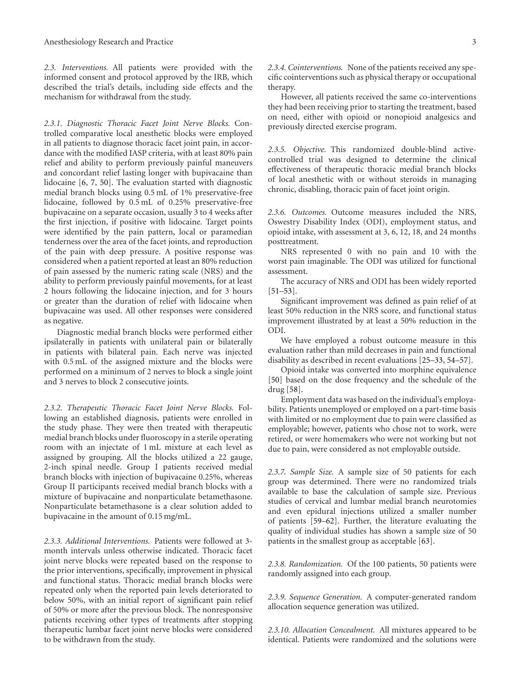*2.3. Interventions.* All patients were provided with the informed consent and protocol approved by the IRB, which described the trial's details, including side effects and the mechanism for withdrawal from the study.

*2.3.1. Diagnostic Thoracic Facet Joint Nerve Blocks.* Controlled comparative local anesthetic blocks were employed in all patients to diagnose thoracic facet joint pain, in accordance with the modified IASP criteria, with at least 80% pain relief and ability to perform previously painful maneuvers and concordant relief lasting longer with bupivacaine than lidocaine [\[6,](#page-7-9) [7](#page-7-10), [50\]](#page-8-11). The evaluation started with diagnostic medial branch blocks using 0.5 mL of 1% preservative-free lidocaine, followed by 0.5 mL of 0.25% preservative-free bupivacaine on a separate occasion, usually 3 to 4 weeks after the first injection, if positive with lidocaine. Target points were identified by the pain pattern, local or paramedian tenderness over the area of the facet joints, and reproduction of the pain with deep pressure. A positive response was considered when a patient reported at least an 80% reduction of pain assessed by the numeric rating scale (NRS) and the ability to perform previously painful movements, for at least 2 hours following the lidocaine injection, and for 3 hours or greater than the duration of relief with lidocaine when bupivacaine was used. All other responses were considered as negative.

Diagnostic medial branch blocks were performed either ipsilaterally in patients with unilateral pain or bilaterally in patients with bilateral pain. Each nerve was injected with 0.5 mL of the assigned mixture and the blocks were performed on a minimum of 2 nerves to block a single joint and 3 nerves to block 2 consecutive joints.

*2.3.2. Therapeutic Thoracic Facet Joint Nerve Blocks.* Following an established diagnosis, patients were enrolled in the study phase. They were then treated with therapeutic medial branch blocks under fluoroscopy in a sterile operating room with an injectate of 1 mL mixture at each level as assigned by grouping. All the blocks utilized a 22 gauge, 2-inch spinal needle. Group I patients received medial branch blocks with injection of bupivacaine 0.25%, whereas Group II participants received medial branch blocks with a mixture of bupivacaine and nonparticulate betamethasone. Nonparticulate betamethasone is a clear solution added to bupivacaine in the amount of 0.15 mg/mL.

*2.3.3. Additional Interventions.* Patients were followed at 3 month intervals unless otherwise indicated. Thoracic facet joint nerve blocks were repeated based on the response to the prior interventions, specifically, improvement in physical and functional status. Thoracic medial branch blocks were repeated only when the reported pain levels deteriorated to below 50%, with an initial report of significant pain relief of 50% or more after the previous block. The nonresponsive patients receiving other types of treatments after stopping therapeutic lumbar facet joint nerve blocks were considered to be withdrawn from the study.

*2.3.4. Cointerventions.* None of the patients received any specific cointerventions such as physical therapy or occupational therapy.

However, all patients received the same co-interventions they had been receiving prior to starting the treatment, based on need, either with opioid or nonopioid analgesics and previously directed exercise program.

*2.3.5. Objective.* This randomized double-blind activecontrolled trial was designed to determine the clinical effectiveness of therapeutic thoracic medial branch blocks of local anesthetic with or without steroids in managing chronic, disabling, thoracic pain of facet joint origin.

*2.3.6. Outcomes.* Outcome measures included the NRS, Oswestry Disability Index (ODI), employment status, and opioid intake, with assessment at 3, 6, 12, 18, and 24 months posttreatment.

NRS represented 0 with no pain and 10 with the worst pain imaginable. The ODI was utilized for functional assessment.

The accuracy of NRS and ODI has been widely reported  $[51–53]$  $[51–53]$  $[51–53]$ .

Significant improvement was defined as pain relief of at least 50% reduction in the NRS score, and functional status improvement illustrated by at least a 50% reduction in the ODI.

We have employed a robust outcome measure in this evaluation rather than mild decreases in pain and functional disability as described in recent evaluations [\[25](#page-7-13)[–33](#page-8-14), [54](#page-8-15)[–57](#page-8-16)].

Opioid intake was converted into morphine equivalence [\[50\]](#page-8-11) based on the dose frequency and the schedule of the drug [\[58](#page-8-17)].

Employment data was based on the individual's employability. Patients unemployed or employed on a part-time basis with limited or no employment due to pain were classified as employable; however, patients who chose not to work, were retired, or were homemakers who were not working but not due to pain, were considered as not employable outside.

*2.3.7. Sample Size.* A sample size of 50 patients for each group was determined. There were no randomized trials available to base the calculation of sample size. Previous studies of cervical and lumbar medial branch neurotomies and even epidural injections utilized a smaller number of patients [\[59](#page-9-0)[–62](#page-9-1)]. Further, the literature evaluating the quality of individual studies has shown a sample size of 50 patients in the smallest group as acceptable [\[63](#page-9-2)].

*2.3.8. Randomization.* Of the 100 patients, 50 patients were randomly assigned into each group.

*2.3.9. Sequence Generation.* A computer-generated random allocation sequence generation was utilized.

*2.3.10. Allocation Concealment.* All mixtures appeared to be identical. Patients were randomized and the solutions were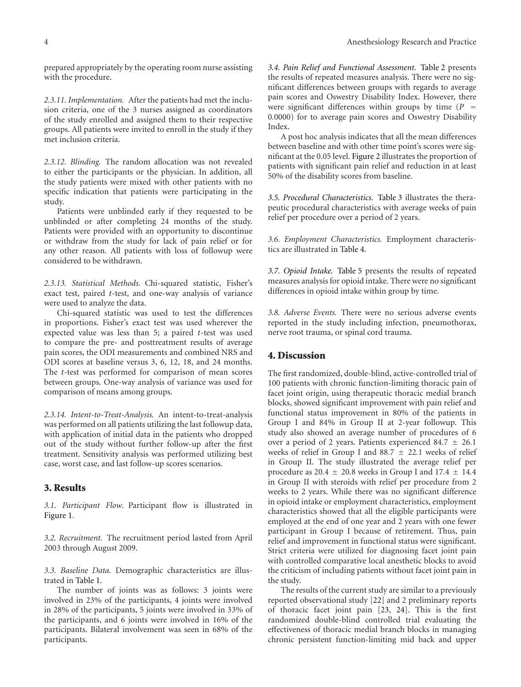prepared appropriately by the operating room nurse assisting with the procedure.

*2.3.11. Implementation.* After the patients had met the inclusion criteria, one of the 3 nurses assigned as coordinators of the study enrolled and assigned them to their respective groups. All patients were invited to enroll in the study if they met inclusion criteria.

*2.3.12. Blinding.* The random allocation was not revealed to either the participants or the physician. In addition, all the study patients were mixed with other patients with no specific indication that patients were participating in the study.

Patients were unblinded early if they requested to be unblinded or after completing 24 months of the study. Patients were provided with an opportunity to discontinue or withdraw from the study for lack of pain relief or for any other reason. All patients with loss of followup were considered to be withdrawn.

*2.3.13. Statistical Methods.* Chi-squared statistic, Fisher's exact test, paired *t*-test, and one-way analysis of variance were used to analyze the data.

Chi-squared statistic was used to test the differences in proportions. Fisher's exact test was used wherever the expected value was less than 5; a paired *t*-test was used to compare the pre- and posttreatment results of average pain scores, the ODI measurements and combined NRS and ODI scores at baseline versus 3, 6, 12, 18, and 24 months. The *t*-test was performed for comparison of mean scores between groups. One-way analysis of variance was used for comparison of means among groups.

*2.3.14. Intent-to-Treat-Analysis.* An intent-to-treat-analysis was performed on all patients utilizing the last followup data, with application of initial data in the patients who dropped out of the study without further follow-up after the first treatment. Sensitivity analysis was performed utilizing best case, worst case, and last follow-up scores scenarios.

#### **3. Results**

*3.1. Participant Flow.* Participant flow is illustrated in [Figure 1.](#page-4-0)

*3.2. Recruitment.* The recruitment period lasted from April 2003 through August 2009.

*3.3. Baseline Data.* Demographic characteristics are illustrated in [Table 1.](#page-4-1)

The number of joints was as follows: 3 joints were involved in 23% of the participants, 4 joints were involved in 28% of the participants, 5 joints were involved in 33% of the participants, and 6 joints were involved in 16% of the participants. Bilateral involvement was seen in 68% of the participants.

*3.4. Pain Relief and Functional Assessment.* [Table 2](#page-5-0) presents the results of repeated measures analysis. There were no significant differences between groups with regards to average pain scores and Oswestry Disability Index. However, there were significant differences within groups by time  $(P =$ 0*.*0000) for to average pain scores and Oswestry Disability Index.

A post hoc analysis indicates that all the mean differences between baseline and with other time point's scores were significant at the 0.05 level. [Figure 2](#page-5-1) illustrates the proportion of patients with significant pain relief and reduction in at least 50% of the disability scores from baseline.

*3.5. Procedural Characteristics.* [Table 3](#page-6-3) illustrates the therapeutic procedural characteristics with average weeks of pain relief per procedure over a period of 2 years.

*3.6. Employment Characteristics.* Employment characteristics are illustrated in [Table 4.](#page-6-4)

*3.7. Opioid Intake.* [Table 5](#page-6-5) presents the results of repeated measures analysis for opioid intake. There were no significant differences in opioid intake within group by time.

*3.8. Adverse Events.* There were no serious adverse events reported in the study including infection, pneumothorax, nerve root trauma, or spinal cord trauma.

#### **4. Discussion**

The first randomized, double-blind, active-controlled trial of 100 patients with chronic function-limiting thoracic pain of facet joint origin, using therapeutic thoracic medial branch blocks, showed significant improvement with pain relief and functional status improvement in 80% of the patients in Group I and 84% in Group II at 2-year followup. This study also showed an average number of procedures of 6 over a period of 2 years. Patients experienced 84*.*<sup>7</sup> <sup>±</sup> <sup>26</sup>*.*<sup>1</sup> weeks of relief in Group I and 88*.*<sup>7</sup> <sup>±</sup> <sup>22</sup>*.*1 weeks of relief in Group II. The study illustrated the average relief per procedure as 20*.*<sup>4</sup> <sup>±</sup> <sup>20</sup>*.*8 weeks in Group I and 17*.*<sup>4</sup> <sup>±</sup> <sup>14</sup>*.*<sup>4</sup> in Group II with steroids with relief per procedure from 2 weeks to 2 years. While there was no significant difference in opioid intake or employment characteristics, employment characteristics showed that all the eligible participants were employed at the end of one year and 2 years with one fewer participant in Group I because of retirement. Thus, pain relief and improvement in functional status were significant. Strict criteria were utilized for diagnosing facet joint pain with controlled comparative local anesthetic blocks to avoid the criticism of including patients without facet joint pain in the study.

The results of the current study are similar to a previously reported observational study [\[22](#page-7-11)] and 2 preliminary reports of thoracic facet joint pain [\[23](#page-7-15), [24](#page-7-12)]. This is the first randomized double-blind controlled trial evaluating the effectiveness of thoracic medial branch blocks in managing chronic persistent function-limiting mid back and upper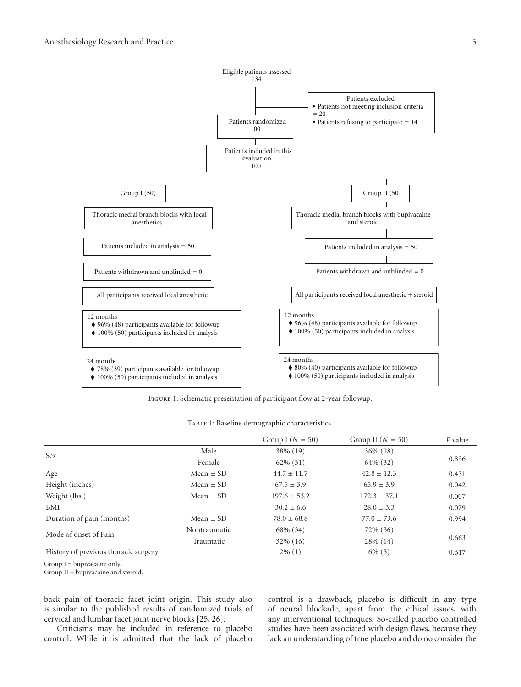

Figure 1: Schematic presentation of participant flow at 2-year followup.

|                                      |               | Group I ( $N = 50$ ) | Group II $(N = 50)$ | $P$ value |
|--------------------------------------|---------------|----------------------|---------------------|-----------|
| <b>Sex</b>                           | Male          | 38% (19)             | $36\%$ (18)         |           |
|                                      | Female        | $62\%$ (31)          | 64\% (32)           | 0.836     |
| Age                                  | Mean $\pm$ SD | $44.7 + 11.7$        | $42.8 + 12.3$       | 0.431     |
| Height (inches)                      | Mean $\pm$ SD | $67.5 \pm 3.9$       | $65.9 \pm 3.9$      | 0.042     |
| Weight (lbs.)                        | Mean $+$ SD   | $197.6 + 53.2$       | $172.3 + 37.1$      | 0.007     |
| <b>BMI</b>                           |               | $30.2 + 6.6$         | $28.0 \pm 3.3$      | 0.079     |
| Duration of pain (months)            | Mean $\pm$ SD | $78.0 + 68.8$        | $77.0 + 73.6$       | 0.994     |
| Mode of onset of Pain                | Nontraumatic  | 68% (34)             | 72\% (36)           |           |
|                                      | Traumatic     | $32\%$ (16)          | $28\%$ (14)         | 0.663     |
| History of previous thoracic surgery |               | $2\%$ (1)            | $6\%$ (3)           | 0.617     |

<span id="page-4-1"></span><span id="page-4-0"></span>TABLE 1: Baseline demographic characteristics.

Group  $I =$  bupivacaine only.

Group II = bupivacaine and steroid.

back pain of thoracic facet joint origin. This study also is similar to the published results of randomized trials of cervical and lumbar facet joint nerve blocks [\[25](#page-7-13), [26\]](#page-7-14).

Criticisms may be included in reference to placebo control. While it is admitted that the lack of placebo control is a drawback, placebo is difficult in any type of neural blockade, apart from the ethical issues, with any interventional techniques. So-called placebo controlled studies have been associated with design flaws, because they lack an understanding of true placebo and do no consider the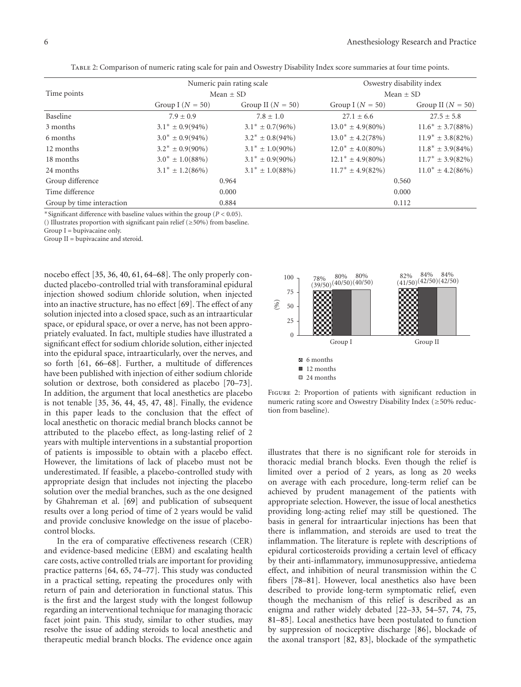|                           |                       | Numeric pain rating scale | Oswestry disability index |                        |  |  |
|---------------------------|-----------------------|---------------------------|---------------------------|------------------------|--|--|
| Time points               |                       | Mean $+$ SD               |                           | Mean $\pm$ SD          |  |  |
|                           | Group I ( $N = 50$ )  | Group II $(N = 50)$       | Group I ( $N = 50$ )      | Group II $(N = 50)$    |  |  |
| Baseline                  | $7.9 + 0.9$           | $7.8 + 1.0$               | $27.1 \pm 6.6$            | $27.5 \pm 5.8$         |  |  |
| 3 months                  | $3.1^* \pm 0.9(94\%)$ | $3.1^* \pm 0.7(96\%)$     | $13.0^* \pm 4.9(80\%)$    | $11.6^* \pm 3.7(88\%)$ |  |  |
| 6 months                  | $3.0^* \pm 0.9(94\%)$ | $3.2^* \pm 0.8(94\%)$     | $13.0^* \pm 4.2(78\%)$    | $11.9^* \pm 3.8(82\%)$ |  |  |
| 12 months                 | $3.2^* \pm 0.9(90\%)$ | $3.1^* \pm 1.0(90\%)$     | $12.0^* \pm 4.0(80\%)$    | $11.8^* \pm 3.9(84\%)$ |  |  |
| 18 months                 | $3.0^* \pm 1.0(88\%)$ | $3.1^* \pm 0.9(90\%)$     | $12.1^* \pm 4.9(80\%)$    | $11.7^* \pm 3.9(82\%)$ |  |  |
| 24 months                 | $3.1^* \pm 1.2(86\%)$ | $3.1^* \pm 1.0(88\%)$     | $11.7^* \pm 4.9(82\%)$    | $11.0^* \pm 4.2(86\%)$ |  |  |
| Group difference          |                       | 0.964                     |                           | 0.560                  |  |  |
| Time difference           |                       | 0.000                     |                           | 0.000                  |  |  |
| Group by time interaction |                       | 0.884                     |                           | 0.112                  |  |  |

<span id="page-5-0"></span>Table 2: Comparison of numeric rating scale for pain and Oswestry Disability Index score summaries at four time points.

<sup>∗</sup>Significant difference with baseline values within the group (*P <* 0.05).

() Illustrates proportion with significant pain relief ( $\geq$ 50%) from baseline.

Group  $I =$  bupivacaine only.

Group II = bupivacaine and steroid.

nocebo effect [\[35](#page-8-2), [36](#page-8-0), [40,](#page-8-9) [61,](#page-9-3) [64](#page-9-4)[–68\]](#page-9-5). The only properly conducted placebo-controlled trial with transforaminal epidural injection showed sodium chloride solution, when injected into an inactive structure, has no effect [\[69](#page-9-6)]. The effect of any solution injected into a closed space, such as an intraarticular space, or epidural space, or over a nerve, has not been appropriately evaluated. In fact, multiple studies have illustrated a significant effect for sodium chloride solution, either injected into the epidural space, intraarticularly, over the nerves, and so forth [\[61,](#page-9-3) [66](#page-9-7)[–68\]](#page-9-5). Further, a multitude of differences have been published with injection of either sodium chloride solution or dextrose, both considered as placebo [\[70](#page-9-8)[–73\]](#page-9-9). In addition, the argument that local anesthetics are placebo is not tenable [\[35](#page-8-2), [36,](#page-8-0) [44](#page-8-6), [45](#page-8-18), [47,](#page-8-19) [48\]](#page-8-7). Finally, the evidence in this paper leads to the conclusion that the effect of local anesthetic on thoracic medial branch blocks cannot be attributed to the placebo effect, as long-lasting relief of 2 years with multiple interventions in a substantial proportion of patients is impossible to obtain with a placebo effect. However, the limitations of lack of placebo must not be underestimated. If feasible, a placebo-controlled study with appropriate design that includes not injecting the placebo solution over the medial branches, such as the one designed by Ghahreman et al. [\[69\]](#page-9-6) and publication of subsequent results over a long period of time of 2 years would be valid and provide conclusive knowledge on the issue of placebocontrol blocks.

In the era of comparative effectiveness research (CER) and evidence-based medicine (EBM) and escalating health care costs, active controlled trials are important for providing practice patterns [\[64,](#page-9-4) [65](#page-9-10), [74](#page-9-11)[–77\]](#page-9-12). This study was conducted in a practical setting, repeating the procedures only with return of pain and deterioration in functional status. This is the first and the largest study with the longest followup regarding an interventional technique for managing thoracic facet joint pain. This study, similar to other studies, may resolve the issue of adding steroids to local anesthetic and therapeutic medial branch blocks. The evidence once again



<span id="page-5-1"></span>FIGURE 2: Proportion of patients with significant reduction in numeric rating score and Oswestry Disability Index (≥50% reduction from baseline).

illustrates that there is no significant role for steroids in thoracic medial branch blocks. Even though the relief is limited over a period of 2 years, as long as 20 weeks on average with each procedure, long-term relief can be achieved by prudent management of the patients with appropriate selection. However, the issue of local anesthetics providing long-acting relief may still be questioned. The basis in general for intraarticular injections has been that there is inflammation, and steroids are used to treat the inflammation. The literature is replete with descriptions of epidural corticosteroids providing a certain level of efficacy by their anti-inflammatory, immunosuppressive, antiedema effect, and inhibition of neural transmission within the C fibers [\[78](#page-9-13)[–81\]](#page-9-14). However, local anesthetics also have been described to provide long-term symptomatic relief, even though the mechanism of this relief is described as an enigma and rather widely debated [\[22](#page-7-11)[–33](#page-8-14), [54](#page-8-15)[–57](#page-8-16), [74](#page-9-11), [75](#page-9-15), [81](#page-9-14)[–85\]](#page-9-16). Local anesthetics have been postulated to function by suppression of nociceptive discharge [\[86\]](#page-9-17), blockade of the axonal transport [\[82,](#page-9-18) [83](#page-9-19)], blockade of the sympathetic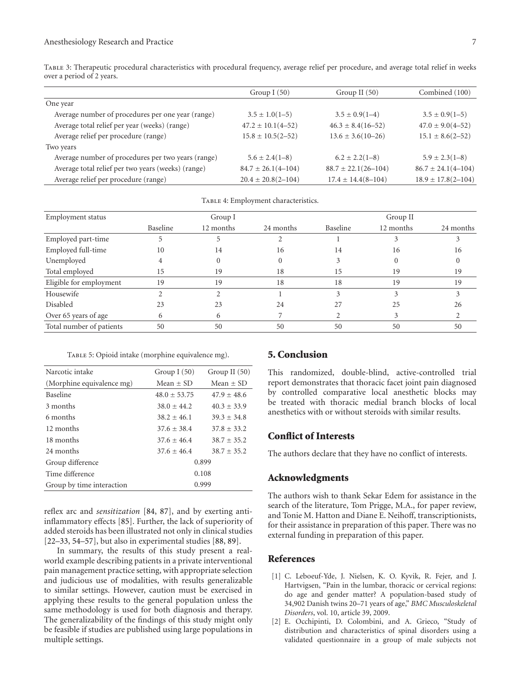<span id="page-6-3"></span>

| TABLE 3: Therapeutic procedural characteristics with procedural frequency, average relief per procedure, and average total relief in weeks |  |  |  |  |
|--------------------------------------------------------------------------------------------------------------------------------------------|--|--|--|--|
| over a period of 2 years.                                                                                                                  |  |  |  |  |

|                                                    | Group $I(50)$            | Group II $(50)$           | Combined (100)           |
|----------------------------------------------------|--------------------------|---------------------------|--------------------------|
| One year                                           |                          |                           |                          |
| Average number of procedures per one year (range)  | $3.5 \pm 1.0(1-5)$       | $3.5 \pm 0.9(1 - 4)$      | $3.5 \pm 0.9(1 - 5)$     |
| Average total relief per year (weeks) (range)      | $47.2 \pm 10.1(4-52)$    | $46.3 \pm 8.4(16 - 52)$   | $47.0 \pm 9.0(4-52)$     |
| Average relief per procedure (range)               | $15.8 \pm 10.5(2-52)$    | $13.6 \pm 3.6(10 - 26)$   | $15.1 \pm 8.6(2-52)$     |
| Two years                                          |                          |                           |                          |
| Average number of procedures per two years (range) | $5.6 \pm 2.4(1-8)$       | $6.2 \pm 2.2(1-8)$        | $5.9 \pm 2.3(1-8)$       |
| Average total relief per two years (weeks) (range) | $84.7 \pm 26.1(4 - 104)$ | $88.7 \pm 22.1(26 - 104)$ | $86.7 \pm 24.1(4 - 104)$ |
| Average relief per procedure (range)               | $20.4 \pm 20.8(2 - 104)$ | $17.4 \pm 14.4(8 - 104)$  | $18.9 \pm 17.8(2 - 104)$ |

<span id="page-6-4"></span>TABLE 4: Employment characteristics.

| Employment status        |          | Group I      |           |          | Group II  |           |  |
|--------------------------|----------|--------------|-----------|----------|-----------|-----------|--|
|                          | Baseline | 12 months    | 24 months | Baseline | 12 months | 24 months |  |
| Employed part-time       |          |              |           |          |           |           |  |
| Employed full-time       | 10       | 14           | 16        | 14       | 16        | 16        |  |
| Unemployed               |          |              |           |          |           |           |  |
| Total employed           | 15       | 19           | 18        | 15       | 19        | 19        |  |
| Eligible for employment  | 19       | 19           | 18        | 18       | 19        | 19        |  |
| Housewife                |          |              |           |          |           |           |  |
| Disabled                 | 23       | 23           | 24        | 27       | 25        | 26        |  |
| Over 65 years of age     | O        | <sub>(</sub> |           |          |           |           |  |
| Total number of patients | 50       | 50           | 50        | 50       | 50        | 50        |  |

<span id="page-6-5"></span>TABLE 5: Opioid intake (morphine equivalence mg).

| Narcotic intake           | Group $I(50)$  | Group II $(50)$ |  |  |
|---------------------------|----------------|-----------------|--|--|
| (Morphine equivalence mg) | Mean $\pm$ SD  | Mean $\pm$ SD   |  |  |
| <b>Baseline</b>           | $48.0 + 53.75$ | $47.9 + 48.6$   |  |  |
| 3 months                  | $38.0 + 44.2$  | $40.3 \pm 33.9$ |  |  |
| 6 months                  | $38.2 + 46.1$  | $39.3 + 34.8$   |  |  |
| 12 months                 | $37.6 + 38.4$  | $37.8 + 33.2$   |  |  |
| 18 months                 | $37.6 + 46.4$  | $38.7 + 35.2$   |  |  |
| 24 months                 | $37.6 + 46.4$  | $38.7 + 35.2$   |  |  |
| Group difference          | 0.899          |                 |  |  |
| Time difference           | 0.108          |                 |  |  |
| Group by time interaction | 0.999          |                 |  |  |

reflex arc and *sensitization* [\[84](#page-9-20), [87\]](#page-9-21), and by exerting antiinflammatory effects [\[85](#page-9-16)]. Further, the lack of superiority of added steroids has been illustrated not only in clinical studies [\[22](#page-7-11)[–33,](#page-8-14) [54](#page-8-15)[–57](#page-8-16)], but also in experimental studies [\[88,](#page-9-22) [89\]](#page-9-23).

In summary, the results of this study present a realworld example describing patients in a private interventional pain management practice setting, with appropriate selection and judicious use of modalities, with results generalizable to similar settings. However, caution must be exercised in applying these results to the general population unless the same methodology is used for both diagnosis and therapy. The generalizability of the findings of this study might only be feasible if studies are published using large populations in multiple settings.

#### **5. Conclusion**

This randomized, double-blind, active-controlled trial report demonstrates that thoracic facet joint pain diagnosed by controlled comparative local anesthetic blocks may be treated with thoracic medial branch blocks of local anesthetics with or without steroids with similar results.

#### **Conflict of Interests**

The authors declare that they have no conflict of interests.

#### **Acknowledgments**

The authors wish to thank Sekar Edem for assistance in the search of the literature, Tom Prigge, M.A., for paper review, and Tonie M. Hatton and Diane E. Neihoff, transcriptionists, for their assistance in preparation of this paper. There was no external funding in preparation of this paper.

#### <span id="page-6-0"></span>**References**

- <span id="page-6-1"></span>[1] C. Leboeuf-Yde, J. Nielsen, K. O. Kyvik, R. Fejer, and J. Hartvigsen, "Pain in the lumbar, thoracic or cervical regions: do age and gender matter? A population-based study of 34,902 Danish twins 20–71 years of age," *BMC Musculoskeletal Disorders*, vol. 10, article 39, 2009.
- <span id="page-6-2"></span>[2] E. Occhipinti, D. Colombini, and A. Grieco, "Study of distribution and characteristics of spinal disorders using a validated questionnaire in a group of male subjects not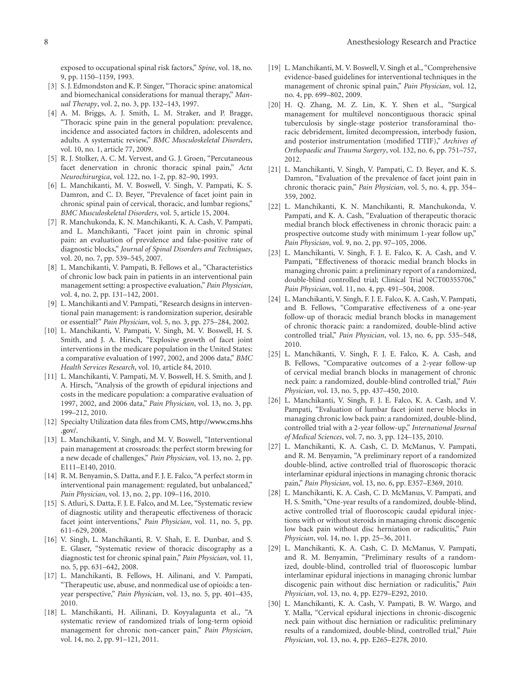exposed to occupational spinal risk factors," *Spine*, vol. 18, no. 9, pp. 1150–1159, 1993.

- [3] S. J. Edmondston and K. P. Singer, "Thoracic spine: anatomical and biomechanical considerations for manual therapy," *Manual Therapy*, vol. 2, no. 3, pp. 132–143, 1997.
- <span id="page-7-0"></span>[4] A. M. Briggs, A. J. Smith, L. M. Straker, and P. Bragge, "Thoracic spine pain in the general population: prevalence, incidence and associated factors in children, adolescents and adults. A systematic review," *BMC Musculoskeletal Disorders*, vol. 10, no. 1, article 77, 2009.
- <span id="page-7-1"></span>[5] R. J. Stolker, A. C. M. Vervest, and G. J. Groen, "Percutaneous facet denervation in chronic thoracic spinal pain," *Acta Neurochirurgica*, vol. 122, no. 1-2, pp. 82–90, 1993.
- <span id="page-7-9"></span>[6] L. Manchikanti, M. V. Boswell, V. Singh, V. Pampati, K. S. Damron, and C. D. Beyer, "Prevalence of facet joint pain in chronic spinal pain of cervical, thoracic, and lumbar regions," *BMC Musculoskeletal Disorders*, vol. 5, article 15, 2004.
- <span id="page-7-10"></span>[7] R. Manchukonda, K. N. Manchikanti, K. A. Cash, V. Pampati, and L. Manchikanti, "Facet joint pain in chronic spinal pain: an evaluation of prevalence and false-positive rate of diagnostic blocks," *Journal of Spinal Disorders and Techniques*, vol. 20, no. 7, pp. 539–545, 2007.
- [8] L. Manchikanti, V. Pampati, B. Fellows et al., "Characteristics of chronic low back pain in patients in an interventional pain management setting: a prospective evaluation," *Pain Physician*, vol. 4, no. 2, pp. 131–142, 2001.
- <span id="page-7-2"></span>[9] L. Manchikanti and V. Pampati, "Research designs in interventional pain management: is randomization superior, desirable or essential?" *Pain Physician*, vol. 5, no. 3, pp. 275–284, 2002.
- <span id="page-7-3"></span>[10] L. Manchikanti, V. Pampati, V. Singh, M. V. Boswell, H. S. Smith, and J. A. Hirsch, "Explosive growth of facet joint interventions in the medicare population in the United States: a comparative evaluation of 1997, 2002, and 2006 data," *BMC Health Services Research*, vol. 10, article 84, 2010.
- [11] L. Manchikanti, V. Pampati, M. V. Boswell, H. S. Smith, and J. A. Hirsch, "Analysis of the growth of epidural injections and costs in the medicare population: a comparative evaluation of 1997, 2002, and 2006 data," *Pain Physician*, vol. 13, no. 3, pp. 199–212, 2010.
- [12] Specialty Utilization data files from CMS, [http://www.cms.hhs](http://www.cms.hhs.gov/) [.gov/.](http://www.cms.hhs.gov/)
- [13] L. Manchikanti, V. Singh, and M. V. Boswell, "Interventional pain management at crossroads: the perfect storm brewing for a new decade of challenges," *Pain Physician*, vol. 13, no. 2, pp. E111–E140, 2010.
- [14] R. M. Benyamin, S. Datta, and F. J. E. Falco, "A perfect storm in interventional pain management: regulated, but unbalanced," *Pain Physician*, vol. 13, no. 2, pp. 109–116, 2010.
- <span id="page-7-5"></span>[15] S. Atluri, S. Datta, F. J. E. Falco, and M. Lee, "Systematic review" of diagnostic utility and therapeutic effectiveness of thoracic facet joint interventions," *Pain Physician*, vol. 11, no. 5, pp. 611–629, 2008.
- <span id="page-7-6"></span>[16] V. Singh, L. Manchikanti, R. V. Shah, E. E. Dunbar, and S. E. Glaser, "Systematic review of thoracic discography as a diagnostic test for chronic spinal pain," *Pain Physician*, vol. 11, no. 5, pp. 631–642, 2008.
- [17] L. Manchikanti, B. Fellows, H. Ailinani, and V. Pampati, "Therapeutic use, abuse, and nonmedical use of opioids: a tenyear perspective," *Pain Physician*, vol. 13, no. 5, pp. 401–435, 2010.
- [18] L. Manchikanti, H. Ailinani, D. Koyyalagunta et al., "A systematic review of randomized trials of long-term opioid management for chronic non-cancer pain," *Pain Physician*, vol. 14, no. 2, pp. 91–121, 2011.
- <span id="page-7-7"></span>[19] L. Manchikanti, M. V. Boswell, V. Singh et al., "Comprehensive evidence-based guidelines for interventional techniques in the management of chronic spinal pain," *Pain Physician*, vol. 12, no. 4, pp. 699–802, 2009.
- <span id="page-7-4"></span>[20] H. Q. Zhang, M. Z. Lin, K. Y. Shen et al., "Surgical management for multilevel noncontiguous thoracic spinal tuberculosis by single-stage posterior transforaminal thoracic debridement, limited decompression, interbody fusion, and posterior instrumentation (modified TTIF)," *Archives of Orthopaedic and Trauma Surgery*, vol. 132, no. 6, pp. 751–757, 2012.
- <span id="page-7-8"></span>[21] L. Manchikanti, V. Singh, V. Pampati, C. D. Beyer, and K. S. Damron, "Evaluation of the prevalence of facet joint pain in chronic thoracic pain," *Pain Physician*, vol. 5, no. 4, pp. 354– 359, 2002.
- <span id="page-7-11"></span>[22] L. Manchikanti, K. N. Manchikanti, R. Manchukonda, V. Pampati, and K. A. Cash, "Evaluation of therapeutic thoracic medial branch block effectiveness in chronic thoracic pain: a prospective outcome study with minimum 1-year follow up," *Pain Physician*, vol. 9, no. 2, pp. 97–105, 2006.
- <span id="page-7-15"></span>[23] L. Manchikanti, V. Singh, F. J. E. Falco, K. A. Cash, and V. Pampati, "Effectiveness of thoracic medial branch blocks in managing chronic pain: a preliminary report of a randomized, double-blind controlled trial; Clinical Trial NCT00355706," *Pain Physician*, vol. 11, no. 4, pp. 491–504, 2008.
- <span id="page-7-12"></span>[24] L. Manchikanti, V. Singh, F. J. E. Falco, K. A. Cash, V. Pampati, and B. Fellows, "Comparative effectiveness of a one-year follow-up of thoracic medial branch blocks in management of chronic thoracic pain: a randomized, double-blind active controlled trial," *Pain Physician*, vol. 13, no. 6, pp. 535–548, 2010.
- <span id="page-7-13"></span>[25] L. Manchikanti, V. Singh, F. J. E. Falco, K. A. Cash, and B. Fellows, "Comparative outcomes of a 2-year follow-up of cervical medial branch blocks in management of chronic neck pain: a randomized, double-blind controlled trial," *Pain Physician*, vol. 13, no. 5, pp. 437–450, 2010.
- <span id="page-7-14"></span>[26] L. Manchikanti, V. Singh, F. J. E. Falco, K. A. Cash, and V. Pampati, "Evaluation of lumbar facet joint nerve blocks in managing chronic low back pain: a randomized, double-blind, controlled trial with a 2-year follow-up," *International Journal of Medical Sciences*, vol. 7, no. 3, pp. 124–135, 2010.
- <span id="page-7-16"></span>[27] L. Manchikanti, K. A. Cash, C. D. McManus, V. Pampati, and R. M. Benyamin, "A preliminary report of a randomized double-blind, active controlled trial of fluoroscopic thoracic interlaminar epidural injections in managing chronic thoracic pain," *Pain Physician*, vol. 13, no. 6, pp. E357–E369, 2010.
- <span id="page-7-17"></span>[28] L. Manchikanti, K. A. Cash, C. D. McManus, V. Pampati, and H. S. Smith, "One-year results of a randomized, double-blind, active controlled trial of fluoroscopic caudal epidural injections with or without steroids in managing chronic discogenic low back pain without disc herniation or radiculitis," *Pain Physician*, vol. 14, no. 1, pp. 25–36, 2011.
- [29] L. Manchikanti, K. A. Cash, C. D. McManus, V. Pampati, and R. M. Benyamin, "Preliminary results of a randomized, double-blind, controlled trial of fluoroscopic lumbar interlaminar epidural injections in managing chronic lumbar discogenic pain without disc herniation or radiculitis," *Pain Physician*, vol. 13, no. 4, pp. E279–E292, 2010.
- [30] L. Manchikanti, K. A. Cash, V. Pampati, B. W. Wargo, and Y. Malla, "Cervical epidural injections in chronic-discogenic neck pain without disc herniation or radiculitis: preliminary results of a randomized, double-blind, controlled trial," *Pain Physician*, vol. 13, no. 4, pp. E265–E278, 2010.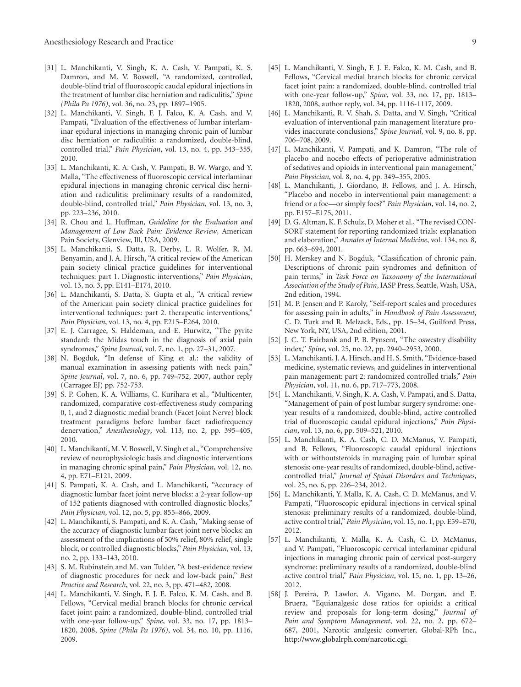- [31] L. Manchikanti, V. Singh, K. A. Cash, V. Pampati, K. S. Damron, and M. V. Boswell, "A randomized, controlled, double-blind trial of fluoroscopic caudal epidural injections in the treatment of lumbar disc herniation and radiculitis," *Spine (Phila Pa 1976)*, vol. 36, no. 23, pp. 1897–1905.
- [32] L. Manchikanti, V. Singh, F. J. Falco, K. A. Cash, and V. Pampati, "Evaluation of the effectiveness of lumbar interlaminar epidural injections in managing chronic pain of lumbar disc herniation or radiculitis: a randomized, double-blind, controlled trial," *Pain Physician*, vol. 13, no. 4, pp. 343–355, 2010.
- <span id="page-8-14"></span>[33] L. Manchikanti, K. A. Cash, V. Pampati, B. W. Wargo, and Y. Malla, "The effectiveness of fluoroscopic cervical interlaminar epidural injections in managing chronic cervical disc herniation and radiculitis: preliminary results of a randomized, double-blind, controlled trial," *Pain Physician*, vol. 13, no. 3, pp. 223–236, 2010.
- <span id="page-8-1"></span>[34] R. Chou and L. Huffman, *Guideline for the Evaluation and Management of Low Back Pain: Evidence Review*, American Pain Society, Glenview, Ill, USA, 2009.
- <span id="page-8-2"></span>[35] L. Manchikanti, S. Datta, R. Derby, L. R. Wolfer, R. M. Benyamin, and J. A. Hirsch, "A critical review of the American pain society clinical practice guidelines for interventional techniques: part 1. Diagnostic interventions," *Pain Physician*, vol. 13, no. 3, pp. E141–E174, 2010.
- <span id="page-8-0"></span>[36] L. Manchikanti, S. Datta, S. Gupta et al., "A critical review of the American pain society clinical practice guidelines for interventional techniques: part 2. therapeutic interventions," *Pain Physician*, vol. 13, no. 4, pp. E215–E264, 2010.
- <span id="page-8-3"></span>[37] E. J. Carragee, S. Haldeman, and E. Hurwitz, "The pyrite standard: the Midas touch in the diagnosis of axial pain syndromes," *Spine Journal*, vol. 7, no. 1, pp. 27–31, 2007.
- [38] N. Bogduk, "In defense of King et al.: the validity of manual examination in assessing patients with neck pain," *Spine Journal*, vol. 7, no. 6, pp. 749–752, 2007, author reply (Carragee EJ) pp. 752-753.
- [39] S. P. Cohen, K. A. Williams, C. Kurihara et al., "Multicenter, randomized, comparative cost-effectiveness study comparing 0, 1, and 2 diagnostic medial branch (Facet Joint Nerve) block treatment paradigms before lumbar facet radiofrequency denervation," *Anesthesiology*, vol. 113, no. 2, pp. 395–405, 2010.
- <span id="page-8-9"></span>[40] L. Manchikanti, M. V. Boswell, V. Singh et al., "Comprehensive review of neurophysiologic basis and diagnostic interventions in managing chronic spinal pain," *Pain Physician*, vol. 12, no. 4, pp. E71–E121, 2009.
- <span id="page-8-8"></span>[41] S. Pampati, K. A. Cash, and L. Manchikanti, "Accuracy of diagnostic lumbar facet joint nerve blocks: a 2-year follow-up of 152 patients diagnosed with controlled diagnostic blocks, *Pain Physician*, vol. 12, no. 5, pp. 855–866, 2009.
- <span id="page-8-4"></span>[42] L. Manchikanti, S. Pampati, and K. A. Cash, "Making sense of the accuracy of diagnostic lumbar facet joint nerve blocks: an assessment of the implications of 50% relief, 80% relief, single block, or controlled diagnostic blocks," *Pain Physician*, vol. 13, no. 2, pp. 133–143, 2010.
- <span id="page-8-5"></span>[43] S. M. Rubinstein and M. van Tulder, "A best-evidence review of diagnostic procedures for neck and low-back pain," *Best Practice and Research*, vol. 22, no. 3, pp. 471–482, 2008.
- <span id="page-8-6"></span>[44] L. Manchikanti, V. Singh, F. J. E. Falco, K. M. Cash, and B. Fellows, "Cervical medial branch blocks for chronic cervical facet joint pain: a randomized, double-blind, controlled trial with one-year follow-up," *Spine*, vol. 33, no. 17, pp. 1813– 1820, 2008, *Spine (Phila Pa 1976)*, vol. 34, no. 10, pp. 1116, 2009.
- <span id="page-8-18"></span>[45] L. Manchikanti, V. Singh, F. J. E. Falco, K. M. Cash, and B. Fellows, "Cervical medial branch blocks for chronic cervical facet joint pain: a randomized, double-blind, controlled trial with one-year follow-up," *Spine*, vol. 33, no. 17, pp. 1813– 1820, 2008, author reply, vol. 34, pp. 1116-1117, 2009.
- [46] L. Manchikanti, R. V. Shah, S. Datta, and V. Singh, "Critical evaluation of interventional pain management literature provides inaccurate conclusions," *Spine Journal*, vol. 9, no. 8, pp. 706–708, 2009.
- <span id="page-8-19"></span>[47] L. Manchikanti, V. Pampati, and K. Damron, "The role of placebo and nocebo effects of perioperative administration of sedatives and opioids in interventional pain management," *Pain Physician*, vol. 8, no. 4, pp. 349–355, 2005.
- <span id="page-8-7"></span>[48] L. Manchikanti, J. Giordano, B. Fellows, and J. A. Hirsch, "Placebo and nocebo in interventional pain management: a friend or a foe—or simply foes?" *Pain Physician*, vol. 14, no. 2, pp. E157–E175, 2011.
- <span id="page-8-10"></span>[49] D. G. Altman, K. F. Schulz, D. Moher et al., "The revised CON-SORT statement for reporting randomized trials: explanation and elaboration," *Annales of Internal Medicine*, vol. 134, no. 8, pp. 663–694, 2001.
- <span id="page-8-11"></span>[50] H. Merskey and N. Bogduk, "Classification of chronic pain. Descriptions of chronic pain syndromes and definition of pain terms," in *Task Force on Taxonomy of the International Association of the Study of Pain*, IASP Press, Seattle, Wash, USA, 2nd edition, 1994.
- <span id="page-8-12"></span>[51] M. P. Jensen and P. Karoly, "Self-report scales and procedures for assessing pain in adults," in *Handbook of Pain Assessment*, C. D. Turk and R. Melzack, Eds., pp. 15–34, Guilford Press, New York, NY, USA, 2nd edition, 2001.
- [52] J. C. T. Fairbank and P. B. Pynsent, "The oswestry disability index," *Spine*, vol. 25, no. 22, pp. 2940–2953, 2000.
- <span id="page-8-13"></span>[53] L. Manchikanti, J. A. Hirsch, and H. S. Smith, "Evidence-based medicine, systematic reviews, and guidelines in interventional pain management: part 2: randomized controlled trials," *Pain Physician*, vol. 11, no. 6, pp. 717–773, 2008.
- <span id="page-8-15"></span>[54] L. Manchikanti, V. Singh, K. A. Cash, V. Pampati, and S. Datta, "Management of pain of post lumbar surgery syndrome: oneyear results of a randomized, double-blind, active controlled trial of fluoroscopic caudal epidural injections," *Pain Physician*, vol. 13, no. 6, pp. 509–521, 2010.
- [55] L. Manchikanti, K. A. Cash, C. D. McManus, V. Pampati, and B. Fellows, "Fluoroscopic caudal epidural injections with or withoutsteroids in managing pain of lumbar spinal stenosis: one-year results of randomized, double-blind, activecontrolled trial," *Journal of Spinal Disorders and Techniques*, vol. 25, no. 6, pp. 226–234, 2012.
- [56] L. Manchikanti, Y. Malla, K. A. Cash, C. D. McManus, and V. Pampati, "Fluoroscopic epidural injections in cervical spinal stenosis: preliminary results of a randomized, double-blind, active control trial," *Pain Physician*, vol. 15, no. 1, pp. E59–E70, 2012.
- <span id="page-8-16"></span>[57] L. Manchikanti, Y. Malla, K. A. Cash, C. D. McManus, and V. Pampati, "Fluoroscopic cervical interlaminar epidural injections in managing chronic pain of cervical post-surgery syndrome: preliminary results of a randomized, double-blind active control trial," *Pain Physician*, vol. 15, no. 1, pp. 13–26, 2012.
- <span id="page-8-17"></span>[58] J. Pereira, P. Lawlor, A. Vigano, M. Dorgan, and E. Bruera, "Equianalgesic dose ratios for opioids: a critical review and proposals for long-term dosing," *Journal of Pain and Symptom Management*, vol. 22, no. 2, pp. 672– 687, 2001, Narcotic analgesic converter, Global-RPh Inc., [http://www.globalrph.com/narcotic.cgi.](http://www.globalrph.com/narcotic.cgi)